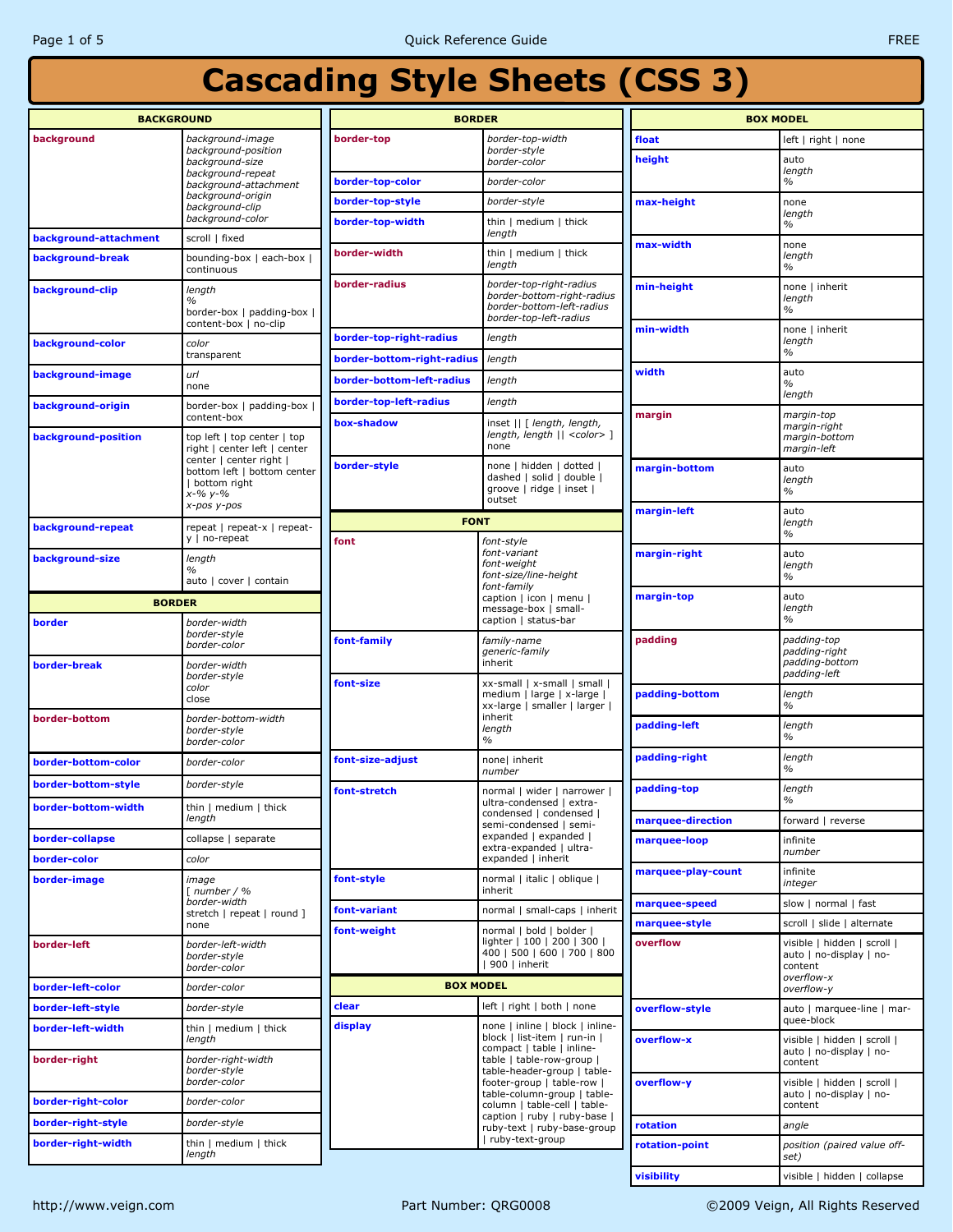| <b>BACKGROUND</b>                         |                                                                                                                                          | <b>BORDER</b>              |                                                                                                              | <b>BOX MODEL</b>   |                                                                                 |
|-------------------------------------------|------------------------------------------------------------------------------------------------------------------------------------------|----------------------------|--------------------------------------------------------------------------------------------------------------|--------------------|---------------------------------------------------------------------------------|
| background                                | background-image                                                                                                                         | border-top                 | border-top-width                                                                                             | float              | left   right   none                                                             |
|                                           | background-position<br>background-size                                                                                                   |                            | border-style<br>border-color                                                                                 | height             | auto                                                                            |
|                                           | background-repeat<br>background-attachment                                                                                               | border-top-color           | border-color                                                                                                 |                    | length<br>$\%$                                                                  |
| background-origin<br>background-clip      |                                                                                                                                          | border-top-style           | border-style                                                                                                 | max-height         | none                                                                            |
|                                           | background-color                                                                                                                         | border-top-width           | thin   medium   thick<br>length                                                                              |                    | length<br>$\%$                                                                  |
| background-attachment<br>background-break | scroll   fixed<br>bounding-box   each-box  <br>continuous                                                                                | border-width               | thin   medium   thick<br>length                                                                              | max-width          | none<br>length<br>$\%$                                                          |
| background-clip                           | length<br>$\%$<br>border-box   padding-box                                                                                               | border-radius              | border-top-right-radius<br>border-bottom-right-radius<br>border-bottom-left-radius<br>border-top-left-radius | min-height         | none   inherit<br>length<br>$\%$                                                |
| background-color                          | content-box   no-clip<br>color                                                                                                           | border-top-right-radius    | length                                                                                                       | min-width          | none   inherit<br>length                                                        |
|                                           | transparent                                                                                                                              | border-bottom-right-radius | length                                                                                                       |                    | $\frac{0}{0}$                                                                   |
| background-image                          | url<br>none                                                                                                                              | border-bottom-left-radius  | length                                                                                                       | width              | auto<br>$\%$                                                                    |
| background-origin                         | border-box   padding-box                                                                                                                 | border-top-left-radius     | length                                                                                                       |                    | length                                                                          |
| background-position                       | content-box<br>top left   top center   top<br>right   center left   center                                                               | box-shadow                 | inset    [ length, length,<br>length, length    <color> ]<br/>none</color>                                   | margin             | margin-top<br>margin-right<br>margin-bottom<br>margin-left                      |
|                                           | center   center right  <br>bottom left   bottom center<br>  bottom right<br>$x - % y - % w = 0$                                          | border-style               | none   hidden   dotted  <br>dashed   solid   double  <br>groove   ridge   inset  <br>outset                  | margin-bottom      | auto<br>length<br>$\%$                                                          |
|                                           | x-pos y-pos                                                                                                                              | <b>FONT</b>                |                                                                                                              | margin-left        | auto<br>length                                                                  |
| background-repeat                         | repeat   repeat-x   repeat-<br>y   no-repeat                                                                                             | font                       | font-style                                                                                                   |                    | $\%$                                                                            |
| background-size                           | length<br>%<br>auto   cover   contain                                                                                                    |                            | font-variant<br>font-weight<br>font-size/line-height                                                         | margin-right       | auto<br>length<br>$\frac{0}{0}$                                                 |
| <b>BORDER</b>                             |                                                                                                                                          |                            | font-family<br>caption   icon   menu                                                                         | margin-top         | auto<br>length<br>$\frac{0}{0}$                                                 |
| border-width<br>border                    |                                                                                                                                          |                            | message-box   small-<br>caption   status-bar                                                                 |                    |                                                                                 |
| border-break                              | border-style<br>border-color<br>border-width                                                                                             | font-family                | family-name<br>generic-family<br>inherit                                                                     | padding            | padding-top<br>padding-right<br>padding-bottom                                  |
|                                           | border-style<br>xx-small   x-small   small  <br>font-size<br>color<br>medium   large   x-large  <br>close<br>xx-large   smaller   larger |                            |                                                                                                              | padding-bottom     | padding-left<br>length<br>$\frac{0}{0}$                                         |
| border-bottom                             | border-bottom-width<br>border-style<br>border-color                                                                                      |                            | inherit<br>length<br>$\%$                                                                                    | padding-left       | length<br>$\frac{0}{0}$                                                         |
| border-bottom-color                       | border-color                                                                                                                             | font-size-adjust           | none  inherit<br>number                                                                                      | padding-right      | length<br>$\%$                                                                  |
| border-bottom-style                       | border-style                                                                                                                             | font-stretch               | normal   wider   narrower                                                                                    | padding-top        | length                                                                          |
| <u> porder-pottom-width</u>               | thin   medium   thick<br>length                                                                                                          |                            | ultra-condensed   extra-<br>condensed   condensed  <br>semi-condensed   semi-                                | marquee-direction  | $\%$<br>forward   reverse                                                       |
| border-collapse                           | collapse   separate                                                                                                                      |                            | expanded   expanded                                                                                          | marquee-loop       | infinite                                                                        |
| border-color                              | color                                                                                                                                    |                            | extra-expanded   ultra-<br>expanded   inherit                                                                |                    | number                                                                          |
| border-image                              | image<br>$\lceil$ number / %                                                                                                             | font-style                 | normal   italic   oblique  <br>inherit                                                                       | marquee-play-count | infinite<br>integer                                                             |
|                                           | border-width                                                                                                                             | font-variant               | normal   small-caps   inherit                                                                                | marquee-speed      | slow   normal   fast                                                            |
|                                           | stretch   repeat   round ]<br>none<br>font-weight                                                                                        |                            | normal   bold   bolder                                                                                       | marquee-style      | scroll   slide   alternate                                                      |
| border-left                               | border-left-width<br>border-style<br>border-color                                                                                        |                            | lighter   100   200   300  <br>400   500   600   700   800<br>$ 900 $ inherit                                | overflow           | visible   hidden   scroll  <br>auto   no-display   no-<br>content<br>overflow-x |
| border-left-color                         | border-color                                                                                                                             | <b>BOX MODEL</b>           |                                                                                                              |                    | overflow-y                                                                      |
| border-left-style                         | border-style                                                                                                                             | clear                      | left   right   both   none                                                                                   | overflow-style     | auto   marquee-line   mar-<br>quee-block                                        |
| border-left-width                         | thin   medium   thick<br>length                                                                                                          | display                    | none   inline   block   inline-<br>block   list-item   run-in  <br>compact   table   inline-                 | overflow-x         | visible   hidden   scroll  <br>auto   no-display   no-                          |
| border-right                              | border-right-width<br>border-style<br>border-color                                                                                       |                            | table   table-row-group  <br>table-header-group   table-<br>footer-group   table-row                         | overflow-y         | content<br>visible   hidden   scroll                                            |
| border-right-color                        | border-color                                                                                                                             |                            | table-column-group   table-<br>column   table-cell   table-                                                  |                    | auto   no-display   no-<br>content                                              |
| border-right-style                        | border-style                                                                                                                             |                            | caption   ruby   ruby-base  <br>ruby-text   ruby-base-group                                                  | rotation           | angle                                                                           |
| border-right-width                        | thin   medium   thick<br>length                                                                                                          |                            | ruby-text-group                                                                                              | rotation-point     | position (paired value off-<br>set)                                             |
|                                           |                                                                                                                                          |                            |                                                                                                              | visibility         | visible   hidden   collapse                                                     |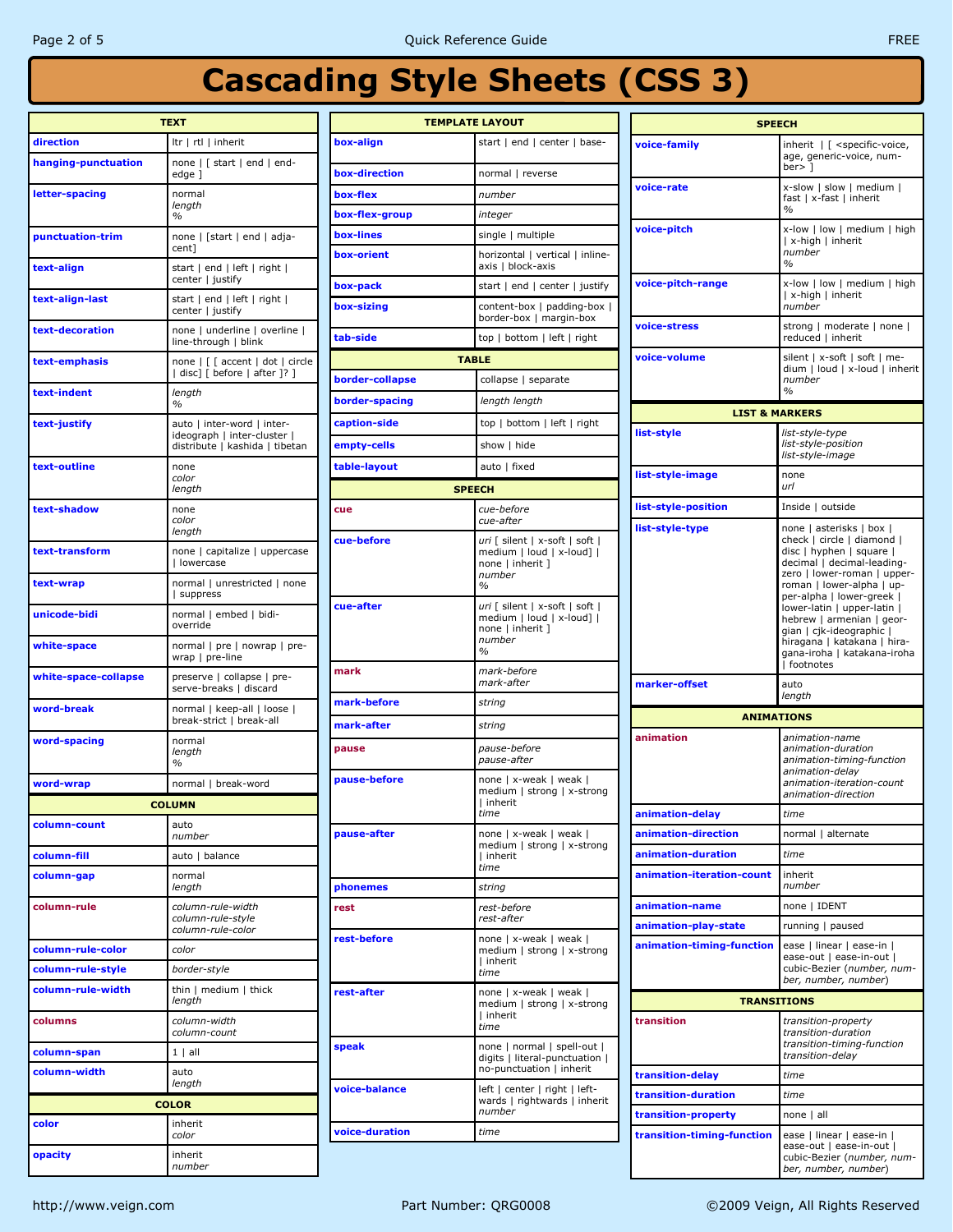| <b>TEXT</b>          |                                                                                             |  |  |  |  |  |
|----------------------|---------------------------------------------------------------------------------------------|--|--|--|--|--|
| direction            | Itr   rtl   inherit                                                                         |  |  |  |  |  |
| hanging-punctuation  | none   [ start   end   end-<br>edge ]                                                       |  |  |  |  |  |
| letter-spacing       | normal<br>lenath<br>$\%$                                                                    |  |  |  |  |  |
| punctuation-trim     | none   [start   end   adja-<br>cent]                                                        |  |  |  |  |  |
| text-align           | start   end   left   right  <br>center   justify                                            |  |  |  |  |  |
| text-align-last      | start   end   left   right  <br>center   justify                                            |  |  |  |  |  |
| text-decoration      | none   underline   overline  <br>line-through   blink                                       |  |  |  |  |  |
| text-emphasis        | none   [ [ accent   dot   circle<br>  disc] [ before   after ]? ]                           |  |  |  |  |  |
| text-indent          | length<br>$\%$                                                                              |  |  |  |  |  |
| text-justify         | auto   inter-word   inter-<br>ideograph   inter-cluster  <br>distribute   kashida   tibetan |  |  |  |  |  |
| text-outline         | none<br>color<br>length                                                                     |  |  |  |  |  |
| text-shadow          | none<br>color<br>length                                                                     |  |  |  |  |  |
| text-transform       | none   capitalize   uppercase<br>  lowercase                                                |  |  |  |  |  |
| text-wrap            | normal   unrestricted   none<br>suppress                                                    |  |  |  |  |  |
| unicode-bidi         | normal   embed   bidi-<br>override                                                          |  |  |  |  |  |
| white-space          | normal   pre   nowrap   pre-<br>wrap   pre-line                                             |  |  |  |  |  |
| white-space-collapse | preserve   collapse   pre-<br>serve-breaks   discard                                        |  |  |  |  |  |
| word-break           | normal   keep-all   loose  <br>break-strict   break-all                                     |  |  |  |  |  |
| word-spacing         | normal<br>length<br>$\%$                                                                    |  |  |  |  |  |
| word-wrap            | normal   break-word                                                                         |  |  |  |  |  |
|                      | COLUMN                                                                                      |  |  |  |  |  |
| column-count         | auto<br>number                                                                              |  |  |  |  |  |
| column-fill          | auto   balance                                                                              |  |  |  |  |  |
| column-gap           | normal<br>length                                                                            |  |  |  |  |  |
| column-rule          | column-rule-width<br>column-rule-style<br>column-rule-color                                 |  |  |  |  |  |
| column-rule-color    | color                                                                                       |  |  |  |  |  |
| column-rule-style    | border-style                                                                                |  |  |  |  |  |
| column-rule-width    | thin   medium   thick<br>length                                                             |  |  |  |  |  |
| columns              | column-width<br>column-count                                                                |  |  |  |  |  |
| column-span          | $1 \mid$ all                                                                                |  |  |  |  |  |
| column-width         | auto<br>length                                                                              |  |  |  |  |  |
|                      | <b>COLOR</b>                                                                                |  |  |  |  |  |
| color                | inherit                                                                                     |  |  |  |  |  |
|                      | color                                                                                       |  |  |  |  |  |
| opacity              | inherit<br>number                                                                           |  |  |  |  |  |

| <b>TEMPLATE LAYOUT</b> |                                                                                                            |  |  |  |  |
|------------------------|------------------------------------------------------------------------------------------------------------|--|--|--|--|
| box-align              | start   end   center   base-                                                                               |  |  |  |  |
| box-direction          | normal   reverse                                                                                           |  |  |  |  |
| box-flex               | number                                                                                                     |  |  |  |  |
| box-flex-group         | integer                                                                                                    |  |  |  |  |
| box-lines              | single   multiple                                                                                          |  |  |  |  |
| box-orient             | horizontal   vertical   inline-<br>axis   block-axis                                                       |  |  |  |  |
| box-pack               | start   end   center   justify                                                                             |  |  |  |  |
| box-sizing             | content-box   padding-box  <br>border-box   margin-box                                                     |  |  |  |  |
| tab-side               | top   bottom   left   right                                                                                |  |  |  |  |
| <b>TABLE</b>           |                                                                                                            |  |  |  |  |
| border-collapse        | collapse   separate                                                                                        |  |  |  |  |
| border-spacing         | length length                                                                                              |  |  |  |  |
| caption-side           | top   bottom   left   right                                                                                |  |  |  |  |
| empty-cells            | show   hide                                                                                                |  |  |  |  |
| table-layout           | auto   fixed                                                                                               |  |  |  |  |
| <b>SPEECH</b>          |                                                                                                            |  |  |  |  |
| cue                    | cue-before                                                                                                 |  |  |  |  |
|                        | cue-after                                                                                                  |  |  |  |  |
| cue-before             | uri [ silent   x-soft   soft  <br>medium   loud   x-loud]  <br>none   inherit ]<br>number<br>$\frac{0}{0}$ |  |  |  |  |
| cue-after              | uri [ silent   x-soft   soft  <br>medium   loud   x-loud]  <br>none   inherit ]<br>number<br>$\%$          |  |  |  |  |
| mark                   | mark-before<br>mark-after                                                                                  |  |  |  |  |
| mark-before            | string                                                                                                     |  |  |  |  |
| mark-after             | string                                                                                                     |  |  |  |  |
| pause                  | pause-before<br>pause-after                                                                                |  |  |  |  |
| pause-before           | none   x-weak   weak  <br>medium   strong   x-strong<br>I inherit<br>ите                                   |  |  |  |  |
| pause-after            | none   x-weak   weak  <br>medium   strong   x-strong<br>I inherit<br>time                                  |  |  |  |  |
| phonemes               | string                                                                                                     |  |  |  |  |
| rest                   | rest-before<br>rest-after                                                                                  |  |  |  |  |
| rest-before            | none   x-weak   weak  <br>medium   strong   x-strong<br>  inherit<br>time                                  |  |  |  |  |
| rest-after             | none   x-weak   weak  <br>medium   strong   x-strong<br>  inherit<br>time                                  |  |  |  |  |
| speak                  | none   normal   spell-out  <br>digits   literal-punctuation  <br>no-punctuation   inherit                  |  |  |  |  |
| voice-balance          | left   center   right   left-<br>wards   rightwards   inherit<br>number                                    |  |  |  |  |
| voice-duration         | time                                                                                                       |  |  |  |  |
|                        |                                                                                                            |  |  |  |  |

| <b>SPEECH</b>              |                                                                                                                                                                                                                                                                                                                                                                                |  |  |  |  |  |
|----------------------------|--------------------------------------------------------------------------------------------------------------------------------------------------------------------------------------------------------------------------------------------------------------------------------------------------------------------------------------------------------------------------------|--|--|--|--|--|
|                            |                                                                                                                                                                                                                                                                                                                                                                                |  |  |  |  |  |
| voice-family               | inherit   [ <specific-voice,<br>age, generic-voice, num-<br/><math>ber</math>&gt; 1</specific-voice,<br>                                                                                                                                                                                                                                                                       |  |  |  |  |  |
| voice-rate                 | x-slow   slow   medium  <br>fast   x-fast   inherit<br>%                                                                                                                                                                                                                                                                                                                       |  |  |  |  |  |
| voice-pitch                | x-low   low   medium   high<br>  x-high   inherit<br>number<br>$\frac{1}{2}$                                                                                                                                                                                                                                                                                                   |  |  |  |  |  |
| voice-pitch-range          | x-low   low   medium   high<br>  x-high   inherit<br>number                                                                                                                                                                                                                                                                                                                    |  |  |  |  |  |
| voice-stress               | strong   moderate   none  <br>reduced   inherit                                                                                                                                                                                                                                                                                                                                |  |  |  |  |  |
| voice-volume               | silent   x-soft   soft   me-<br>dium   loud   x-loud   inherit<br>number<br>$\frac{0}{0}$                                                                                                                                                                                                                                                                                      |  |  |  |  |  |
| <b>LIST &amp; MARKERS</b>  |                                                                                                                                                                                                                                                                                                                                                                                |  |  |  |  |  |
| list-style                 | list-style-type<br>list-style-position<br>list-style-image                                                                                                                                                                                                                                                                                                                     |  |  |  |  |  |
| list-style-image           | none<br>url                                                                                                                                                                                                                                                                                                                                                                    |  |  |  |  |  |
| list-style-position        | Inside   outside                                                                                                                                                                                                                                                                                                                                                               |  |  |  |  |  |
| list-style-type            | none   asterisks   box  <br>check   circle   diamond  <br>disc   hyphen   square  <br>decimal   decimal-leading-<br>zero   lower-roman   upper-<br>roman   lower-alpha   up-<br>per-alpha   lower-greek  <br>lower-latin   upper-latin  <br>hebrew   armenian   geor-<br>gian   cjk-ideographic  <br>hiragana   katakana   hira-<br>gana-iroha   katakana-iroha<br>  footnotes |  |  |  |  |  |
| marker-offset              | auto<br>length                                                                                                                                                                                                                                                                                                                                                                 |  |  |  |  |  |
| <b>ANIMATIONS</b>          |                                                                                                                                                                                                                                                                                                                                                                                |  |  |  |  |  |
| animation                  | animation-name<br>animation-duration<br>animation-timing-function<br>animation-delay<br>animation-iteration-count<br>animation-direction                                                                                                                                                                                                                                       |  |  |  |  |  |
| animation-delay            | time                                                                                                                                                                                                                                                                                                                                                                           |  |  |  |  |  |
| animation-direction        | normal   alternate                                                                                                                                                                                                                                                                                                                                                             |  |  |  |  |  |
| animation-duration         | time                                                                                                                                                                                                                                                                                                                                                                           |  |  |  |  |  |
| animation-iteration-count  | inherit<br>number                                                                                                                                                                                                                                                                                                                                                              |  |  |  |  |  |
| animation-name             | none   IDENT                                                                                                                                                                                                                                                                                                                                                                   |  |  |  |  |  |
| animation-play-state       | running   paused                                                                                                                                                                                                                                                                                                                                                               |  |  |  |  |  |
| animation-timing-function  | ease   linear   ease-in  <br>ease-out   ease-in-out  <br>cubic-Bezier (number, num-<br>ber, number, number)                                                                                                                                                                                                                                                                    |  |  |  |  |  |
| <b>TRANSITIONS</b>         |                                                                                                                                                                                                                                                                                                                                                                                |  |  |  |  |  |
| transition                 | transition-property<br>transition-duration<br>transition-timing-function<br>transition-delay                                                                                                                                                                                                                                                                                   |  |  |  |  |  |
| transition-delay           | time                                                                                                                                                                                                                                                                                                                                                                           |  |  |  |  |  |
| transition-duration        | time                                                                                                                                                                                                                                                                                                                                                                           |  |  |  |  |  |
| transition-property        | none   all                                                                                                                                                                                                                                                                                                                                                                     |  |  |  |  |  |
| transition-timing-function | ease   linear   ease-in  <br>ease-out   ease-in-out  <br>cubic-Bezier (number, num-<br>ber, number, number)                                                                                                                                                                                                                                                                    |  |  |  |  |  |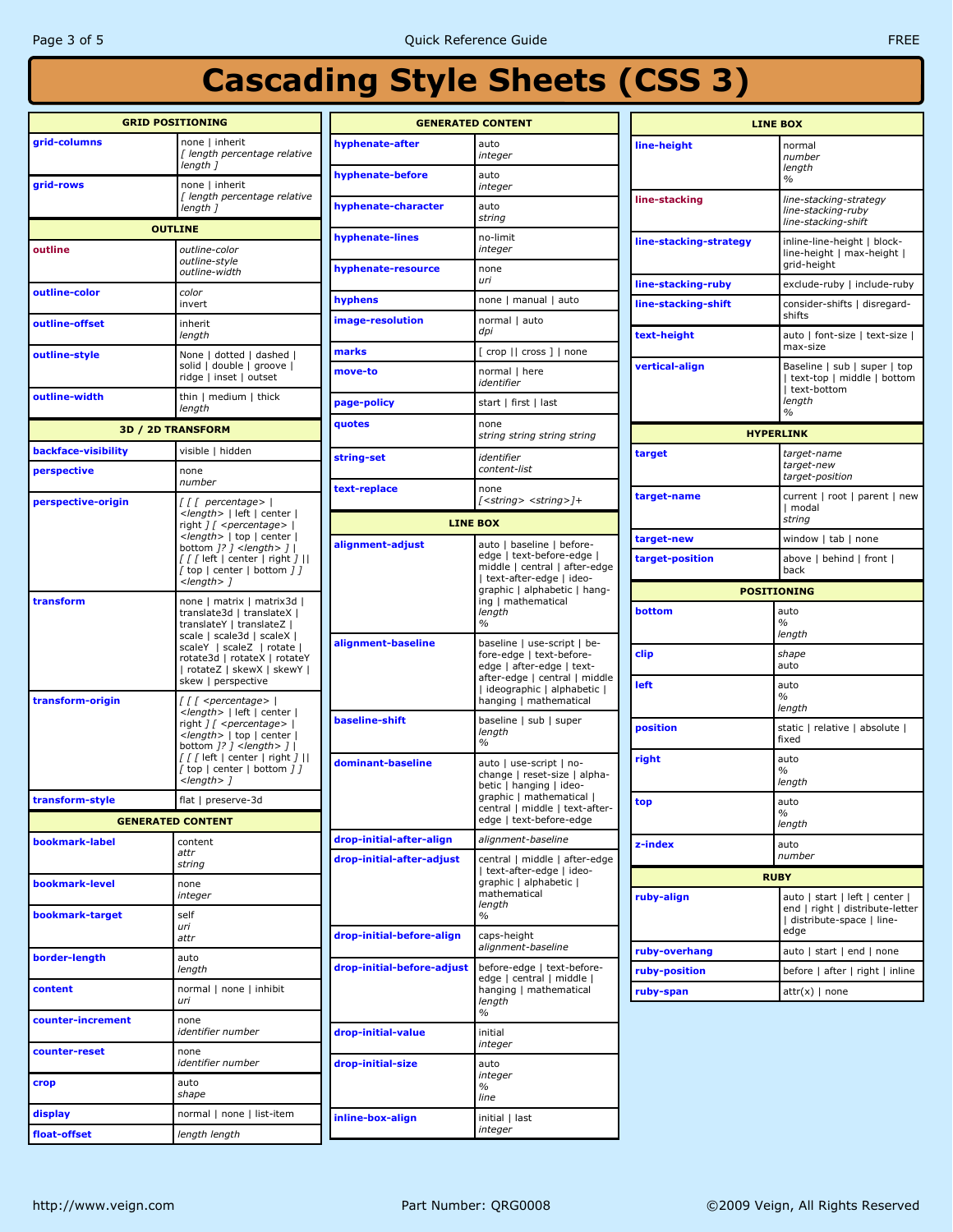| <b>GRID POSITIONING</b> |                                                                                                                      | <b>GENERATED CONTENT</b>            |                                                                                                                                                                                              | <b>LINE BOX</b>                |                                                                                                 |  |
|-------------------------|----------------------------------------------------------------------------------------------------------------------|-------------------------------------|----------------------------------------------------------------------------------------------------------------------------------------------------------------------------------------------|--------------------------------|-------------------------------------------------------------------------------------------------|--|
| grid-columns            | none   inherit<br>[ length percentage relative<br>length 1                                                           | hyphenate-after<br>hyphenate-before | auto<br>integer<br>auto                                                                                                                                                                      | line-height                    | normal<br>number<br>length                                                                      |  |
| grid-rows               | none   inherit<br>[ length percentage relative                                                                       |                                     | integer                                                                                                                                                                                      | line-stacking                  | $\%$<br>line-stacking-strategy                                                                  |  |
|                         | length 1<br><b>OUTLINE</b>                                                                                           | hyphenate-character                 | auto<br>string                                                                                                                                                                               |                                | line-stacking-ruby<br>line-stacking-shift                                                       |  |
| outline                 | outline-color<br>outline-style                                                                                       | hyphenate-lines                     | no-limit<br>integer                                                                                                                                                                          | line-stacking-strategy         | inline-line-height   block-<br>line-height   max-height  <br>grid-height                        |  |
|                         | outline-width                                                                                                        | hyphenate-resource                  | none<br>uri                                                                                                                                                                                  | line-stacking-ruby             | exclude-ruby   include-ruby                                                                     |  |
| outline-color           | color<br>invert                                                                                                      | hyphens                             | none   manual   auto                                                                                                                                                                         | line-stacking-shift            | consider-shifts   disregard-                                                                    |  |
| outline-offset          | inherit<br>length                                                                                                    | image-resolution                    | normal   auto<br>dpi                                                                                                                                                                         | text-height                    | shifts<br>auto   font-size   text-size                                                          |  |
| outline-style           | None   dotted   dashed                                                                                               | marks                               | [ crop    cross ]   none                                                                                                                                                                     |                                | max-size                                                                                        |  |
|                         | solid   double   groove  <br>ridge   inset   outset                                                                  | move-to                             | normal   here<br>identifier                                                                                                                                                                  | vertical-align                 | Baseline   sub   super   top<br>  text-top   middle   bottom<br>text-bottom                     |  |
| outline-width           | thin   medium   thick<br>length                                                                                      | page-policy                         | start   first   last                                                                                                                                                                         |                                | length<br>$\%$                                                                                  |  |
|                         | <b>3D / 2D TRANSFORM</b>                                                                                             | quotes                              | none<br>string string string string                                                                                                                                                          |                                | <b>HYPERLINK</b>                                                                                |  |
| backface-visibility     | visible   hidden                                                                                                     | string-set                          | identifier                                                                                                                                                                                   | target                         | target-name                                                                                     |  |
| perspective             | none<br>number                                                                                                       | text-replace                        | content-list<br>none                                                                                                                                                                         |                                | target-new<br>target-position                                                                   |  |
| perspective-origin      | $\int \int \int$ percentage>  <br><length>   left   center  </length>                                                |                                     | [ <string> <string>]+</string></string>                                                                                                                                                      | target-name                    | current   root   parent   new<br>  modal<br>string                                              |  |
|                         | right $1/$ < percentage > $ $<br><length>   top   center  </length>                                                  | alignment-adjust                    | <b>LINE BOX</b>                                                                                                                                                                              | target-new                     | window I tab I none                                                                             |  |
|                         | bottom $7$ ? $7$ < length > $7$  <br>$\int \int \int$ left   center   right $\int$   <br>[ top   center   bottom ] ] |                                     | auto   baseline   before-<br>edge   text-before-edge  <br>middle   central   after-edge<br>  text-after-edge   ideo-<br>graphic   alphabetic   hang-<br>ing   mathematical<br>length<br>$\%$ | target-position                | above   behind   front  <br>back                                                                |  |
|                         | $<$ length $>$ 1                                                                                                     |                                     |                                                                                                                                                                                              | <b>POSITIONING</b>             |                                                                                                 |  |
| transform               | none   matrix   matrix3d  <br>translate3d   translateX                                                               |                                     |                                                                                                                                                                                              | bottom                         | auto                                                                                            |  |
|                         | translateY   translateZ  <br>scale   scale3d   scaleX                                                                |                                     |                                                                                                                                                                                              |                                | $\%$<br>length                                                                                  |  |
|                         | scaleY   scaleZ   rotate  <br>rotate3d   rotateX   rotateY<br>  rotateZ   skewX   skewY                              | alignment-baseline                  | baseline   use-script   be-<br>fore-edge   text-before-<br>edge   after-edge   text-                                                                                                         | clip                           | shape<br>auto                                                                                   |  |
| transform-origin        | skew   perspective<br>$\int \int \int$ < percentage>                                                                 |                                     | after-edge   central   middle<br>  ideographic   alphabetic  <br>hanging   mathematical                                                                                                      | left                           | auto<br>%                                                                                       |  |
|                         | <length>   left   center  <br/>right <i>] [ <percentage></percentage></i>  </length>                                 | baseline-shift                      | baseline   sub   super<br>length<br>$\%$                                                                                                                                                     | position                       | length<br>static   relative   absolute                                                          |  |
|                         | <length>   top   center  <br/>bottom <math>7</math>? <math>7</math> &lt; length &gt; <math>7</math>  </length>       |                                     |                                                                                                                                                                                              |                                | fixed                                                                                           |  |
|                         | $\int \int \int$ left   center   right $\int$   <br>$[$ top $]$ center $]$ bottom $]$ $]$<br>$<$ length $>$ 1        | dominant-baseline                   | auto   use-script   no-<br>change   reset-size   alpha-                                                                                                                                      | right                          | auto<br>$\%$<br>length                                                                          |  |
| transform-style         | flat   preserve-3d                                                                                                   |                                     | betic   hanging   ideo-<br>graphic   mathematical                                                                                                                                            | top                            | auto                                                                                            |  |
|                         | <b>GENERATED CONTENT</b>                                                                                             |                                     | central   middle   text-after-<br>edge   text-before-edge                                                                                                                                    |                                | $\%$<br>length                                                                                  |  |
| bookmark-label          | content                                                                                                              | drop-initial-after-align            | alignment-baseline                                                                                                                                                                           | z-index                        | auto                                                                                            |  |
|                         | attr<br>string                                                                                                       | drop-initial-after-adjust           | central   middle   after-edge<br>  text-after-edge   ideo-                                                                                                                                   |                                | number                                                                                          |  |
| bookmark-level          | none                                                                                                                 |                                     | graphic   alphabetic                                                                                                                                                                         | <b>RUBY</b>                    |                                                                                                 |  |
| bookmark-target         | integer<br>self                                                                                                      |                                     | mathematical<br>length<br>$\%$                                                                                                                                                               | ruby-align                     | auto   start   left   center  <br>end   right   distribute-letter<br>  distribute-space   line- |  |
|                         | uri<br>attr                                                                                                          | drop-initial-before-align           | caps-height                                                                                                                                                                                  |                                | edge                                                                                            |  |
| border-length           | auto<br>length                                                                                                       | drop-initial-before-adjust          | alignment-baseline<br>before-edge   text-before-                                                                                                                                             | ruby-overhang<br>ruby-position | auto   start   end   none<br>before   after   right   inline                                    |  |
| content                 | normal   none   inhibit<br>uri                                                                                       |                                     | edge   central   middle  <br>hanging   mathematical<br>length                                                                                                                                | ruby-span                      | $attr(x)$   none                                                                                |  |
| counter-increment       | none<br>identifier number                                                                                            | drop-initial-value                  | $\%$<br>initial                                                                                                                                                                              |                                |                                                                                                 |  |
| counter-reset           | none<br>identifier number                                                                                            | drop-initial-size                   | integer<br>auto                                                                                                                                                                              |                                |                                                                                                 |  |
| crop                    | auto<br>shape                                                                                                        |                                     | integer<br>%<br>line                                                                                                                                                                         |                                |                                                                                                 |  |
| display                 | normal   none   list-item                                                                                            | inline-box-align                    | initial   last                                                                                                                                                                               |                                |                                                                                                 |  |
| float-offset            | length length                                                                                                        |                                     | integer                                                                                                                                                                                      |                                |                                                                                                 |  |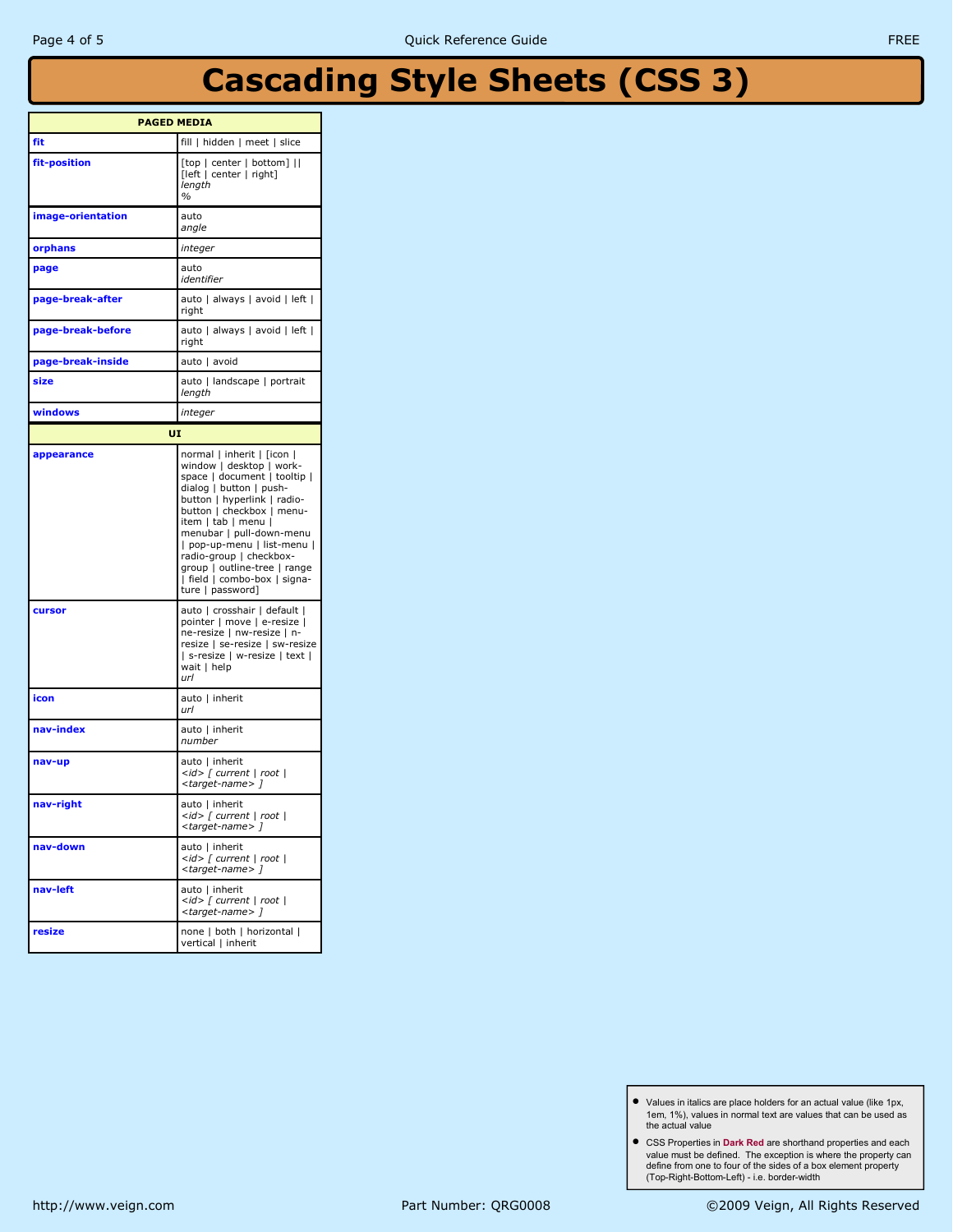| <b>PAGED MEDIA</b> |                                                                                                                                                                                                                                                                                                                                                                                |  |  |  |
|--------------------|--------------------------------------------------------------------------------------------------------------------------------------------------------------------------------------------------------------------------------------------------------------------------------------------------------------------------------------------------------------------------------|--|--|--|
| fit                | fill   hidden   meet   slice                                                                                                                                                                                                                                                                                                                                                   |  |  |  |
| fit-position       | [top   center   bottom]   <br>[left   center   right]<br>length<br>%                                                                                                                                                                                                                                                                                                           |  |  |  |
| image-orientation  | auto<br>angle                                                                                                                                                                                                                                                                                                                                                                  |  |  |  |
| orphans            | integer                                                                                                                                                                                                                                                                                                                                                                        |  |  |  |
| page               | auto<br>identifier                                                                                                                                                                                                                                                                                                                                                             |  |  |  |
| page-break-after   | auto   always   avoid   left  <br>right                                                                                                                                                                                                                                                                                                                                        |  |  |  |
| page-break-before  | auto   always   avoid   left  <br>right                                                                                                                                                                                                                                                                                                                                        |  |  |  |
| page-break-inside  | auto   avoid                                                                                                                                                                                                                                                                                                                                                                   |  |  |  |
| size               | auto   landscape   portrait<br>length                                                                                                                                                                                                                                                                                                                                          |  |  |  |
| windows            | integer                                                                                                                                                                                                                                                                                                                                                                        |  |  |  |
| UI                 |                                                                                                                                                                                                                                                                                                                                                                                |  |  |  |
| appearance         | normal   inherit   [icon  <br>window   desktop   work-<br>space   document   tooltip  <br>dialog   button   push-<br>button   hyperlink   radio-<br>button   checkbox   menu-<br>item   tab   menu  <br>menubar   pull-down-menu<br>  pop-up-menu   list-menu  <br>radio-group   checkbox-<br>group   outline-tree   range<br>  field   combo-box   signa-<br>ture   password] |  |  |  |
| cursor             | auto   crosshair   default  <br>pointer   move   e-resize  <br>ne-resize   nw-resize   n-<br>resize   se-resize   sw-resize<br>  s-resize   w-resize   text  <br>wait   help<br>url                                                                                                                                                                                            |  |  |  |
| icon               | auto   inherit<br>url                                                                                                                                                                                                                                                                                                                                                          |  |  |  |
| nav-index          | auto   inherit<br>number                                                                                                                                                                                                                                                                                                                                                       |  |  |  |
| nav-up             | auto   inherit<br><id> [ current   root  <br/><target-name>]</target-name></id>                                                                                                                                                                                                                                                                                                |  |  |  |
| nav-right          | auto   inherit<br><id> [ current   root  <br/><target-name> ]</target-name></id>                                                                                                                                                                                                                                                                                               |  |  |  |
| nav-down           | auto   inherit<br>$\langle id \rangle$ [ current   root  <br><target-name> ]</target-name>                                                                                                                                                                                                                                                                                     |  |  |  |
| nav-left           | auto   inherit<br><id> [ current   root  <br/><target-name> ]</target-name></id>                                                                                                                                                                                                                                                                                               |  |  |  |
| resize             | none   both   horizontal  <br>vertical   inherit                                                                                                                                                                                                                                                                                                                               |  |  |  |

- Values in italics are place holders for an actual value (like 1px, 1em, 1%), values in normal text are values that can be used as the actual value
- CSS Properties in Dark Red are shorthand properties and each value must be defined. The exception is where the property can define from one to four of the sides of a box element property (Top-Right-Bottom-Left) - i.e. border-width